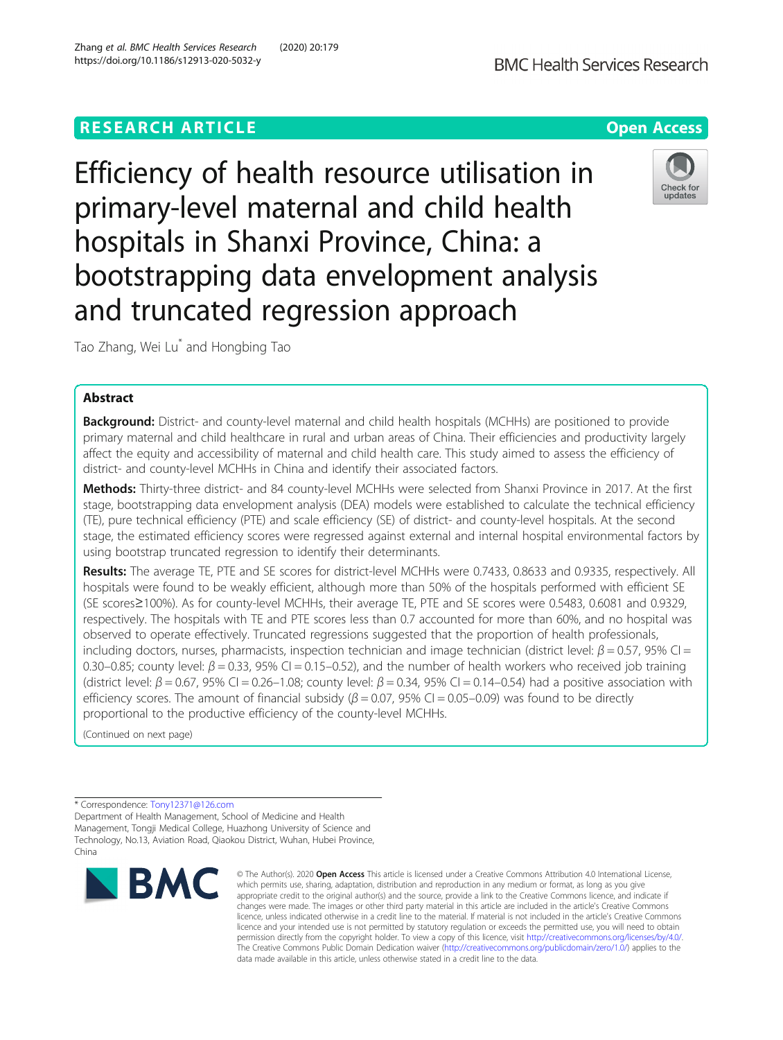# **RESEARCH ARTICLE Example 2014 12:30 The Contract of Contract ACCESS**

Efficiency of health resource utilisation in primary-level maternal and child health hospitals in Shanxi Province, China: a bootstrapping data envelopment analysis and truncated regression approach

Tao Zhang, Wei Lu\* and Hongbing Tao

# Abstract

**Background:** District- and county-level maternal and child health hospitals (MCHHs) are positioned to provide primary maternal and child healthcare in rural and urban areas of China. Their efficiencies and productivity largely affect the equity and accessibility of maternal and child health care. This study aimed to assess the efficiency of district- and county-level MCHHs in China and identify their associated factors.

Methods: Thirty-three district- and 84 county-level MCHHs were selected from Shanxi Province in 2017. At the first stage, bootstrapping data envelopment analysis (DEA) models were established to calculate the technical efficiency (TE), pure technical efficiency (PTE) and scale efficiency (SE) of district- and county-level hospitals. At the second stage, the estimated efficiency scores were regressed against external and internal hospital environmental factors by using bootstrap truncated regression to identify their determinants.

Results: The average TE, PTE and SE scores for district-level MCHHs were 0.7433, 0.8633 and 0.9335, respectively. All hospitals were found to be weakly efficient, although more than 50% of the hospitals performed with efficient SE (SE scores≥100%). As for county-level MCHHs, their average TE, PTE and SE scores were 0.5483, 0.6081 and 0.9329, respectively. The hospitals with TE and PTE scores less than 0.7 accounted for more than 60%, and no hospital was observed to operate effectively. Truncated regressions suggested that the proportion of health professionals, including doctors, nurses, pharmacists, inspection technician and image technician (district level:  $\beta$  = 0.57, 95% CI = 0.30–0.85; county level:  $\beta$  = 0.33, 95% CI = 0.15–0.52), and the number of health workers who received job training (district level:  $\beta$  = 0.67, 95% CI = 0.26–1.08; county level:  $\beta$  = 0.34, 95% CI = 0.14–0.54) had a positive association with efficiency scores. The amount of financial subsidy ( $\beta$  = 0.07, 95% CI = 0.05–0.09) was found to be directly proportional to the productive efficiency of the county-level MCHHs.

(Continued on next page)

\* Correspondence: [Tony12371@126.com](mailto:Tony12371@126.com)

**BMC** 

Department of Health Management, School of Medicine and Health Management, Tongji Medical College, Huazhong University of Science and Technology, No.13, Aviation Road, Qiaokou District, Wuhan, Hubei Province, China





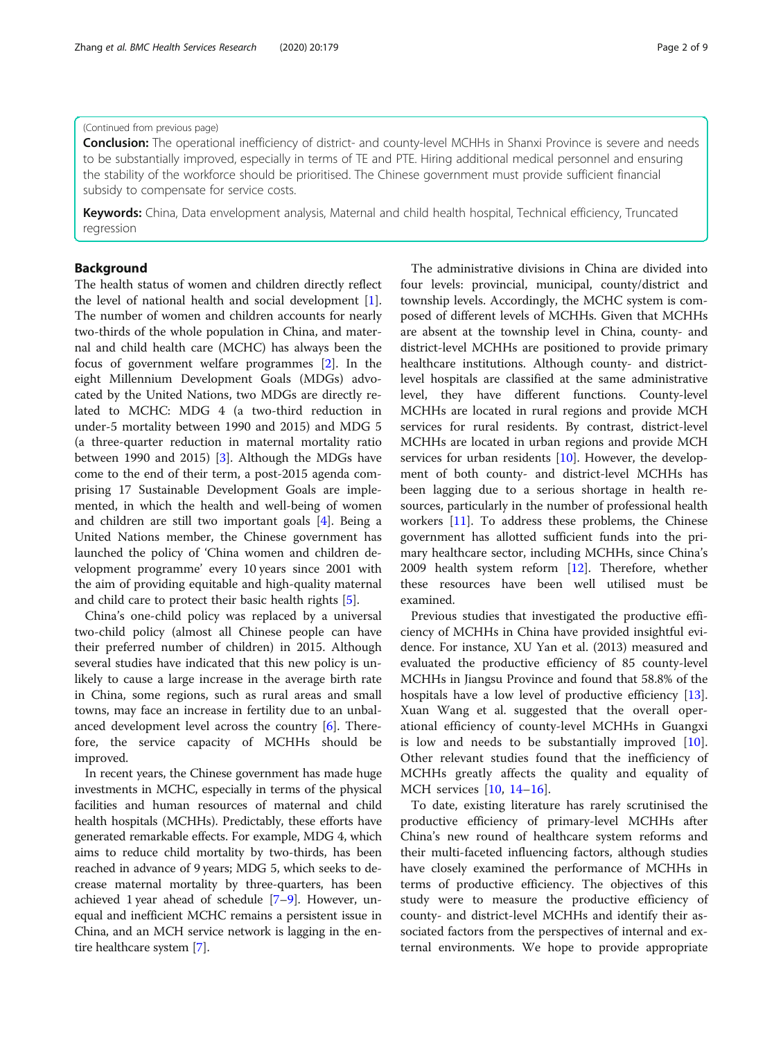# (Continued from previous page)

Conclusion: The operational inefficiency of district- and county-level MCHHs in Shanxi Province is severe and needs to be substantially improved, especially in terms of TE and PTE. Hiring additional medical personnel and ensuring the stability of the workforce should be prioritised. The Chinese government must provide sufficient financial subsidy to compensate for service costs.

Keywords: China, Data envelopment analysis, Maternal and child health hospital, Technical efficiency, Truncated regression

# Background

The health status of women and children directly reflect the level of national health and social development [\[1](#page-7-0)]. The number of women and children accounts for nearly two-thirds of the whole population in China, and maternal and child health care (MCHC) has always been the focus of government welfare programmes [\[2](#page-7-0)]. In the eight Millennium Development Goals (MDGs) advocated by the United Nations, two MDGs are directly related to MCHC: MDG 4 (a two-third reduction in under-5 mortality between 1990 and 2015) and MDG 5 (a three-quarter reduction in maternal mortality ratio between 1990 and 2015) [\[3](#page-7-0)]. Although the MDGs have come to the end of their term, a post-2015 agenda comprising 17 Sustainable Development Goals are implemented, in which the health and well-being of women and children are still two important goals [[4\]](#page-7-0). Being a United Nations member, the Chinese government has launched the policy of 'China women and children development programme' every 10 years since 2001 with the aim of providing equitable and high-quality maternal and child care to protect their basic health rights [\[5](#page-7-0)].

China's one-child policy was replaced by a universal two-child policy (almost all Chinese people can have their preferred number of children) in 2015. Although several studies have indicated that this new policy is unlikely to cause a large increase in the average birth rate in China, some regions, such as rural areas and small towns, may face an increase in fertility due to an unbalanced development level across the country [\[6](#page-7-0)]. Therefore, the service capacity of MCHHs should be improved.

In recent years, the Chinese government has made huge investments in MCHC, especially in terms of the physical facilities and human resources of maternal and child health hospitals (MCHHs). Predictably, these efforts have generated remarkable effects. For example, MDG 4, which aims to reduce child mortality by two-thirds, has been reached in advance of 9 years; MDG 5, which seeks to decrease maternal mortality by three-quarters, has been achieved 1 year ahead of schedule [\[7](#page-7-0)–[9](#page-7-0)]. However, unequal and inefficient MCHC remains a persistent issue in China, and an MCH service network is lagging in the entire healthcare system [\[7](#page-7-0)].

The administrative divisions in China are divided into four levels: provincial, municipal, county/district and township levels. Accordingly, the MCHC system is composed of different levels of MCHHs. Given that MCHHs are absent at the township level in China, county- and district-level MCHHs are positioned to provide primary healthcare institutions. Although county- and districtlevel hospitals are classified at the same administrative level, they have different functions. County-level MCHHs are located in rural regions and provide MCH services for rural residents. By contrast, district-level MCHHs are located in urban regions and provide MCH services for urban residents [[10\]](#page-7-0). However, the development of both county- and district-level MCHHs has been lagging due to a serious shortage in health resources, particularly in the number of professional health workers [\[11](#page-7-0)]. To address these problems, the Chinese government has allotted sufficient funds into the primary healthcare sector, including MCHHs, since China's 2009 health system reform [[12](#page-7-0)]. Therefore, whether these resources have been well utilised must be examined.

Previous studies that investigated the productive efficiency of MCHHs in China have provided insightful evidence. For instance, XU Yan et al. (2013) measured and evaluated the productive efficiency of 85 county-level MCHHs in Jiangsu Province and found that 58.8% of the hospitals have a low level of productive efficiency [\[13](#page-8-0)]. Xuan Wang et al. suggested that the overall operational efficiency of county-level MCHHs in Guangxi is low and needs to be substantially improved [\[10](#page-7-0)]. Other relevant studies found that the inefficiency of MCHHs greatly affects the quality and equality of MCH services [[10,](#page-7-0) [14](#page-8-0)–[16\]](#page-8-0).

To date, existing literature has rarely scrutinised the productive efficiency of primary-level MCHHs after China's new round of healthcare system reforms and their multi-faceted influencing factors, although studies have closely examined the performance of MCHHs in terms of productive efficiency. The objectives of this study were to measure the productive efficiency of county- and district-level MCHHs and identify their associated factors from the perspectives of internal and external environments. We hope to provide appropriate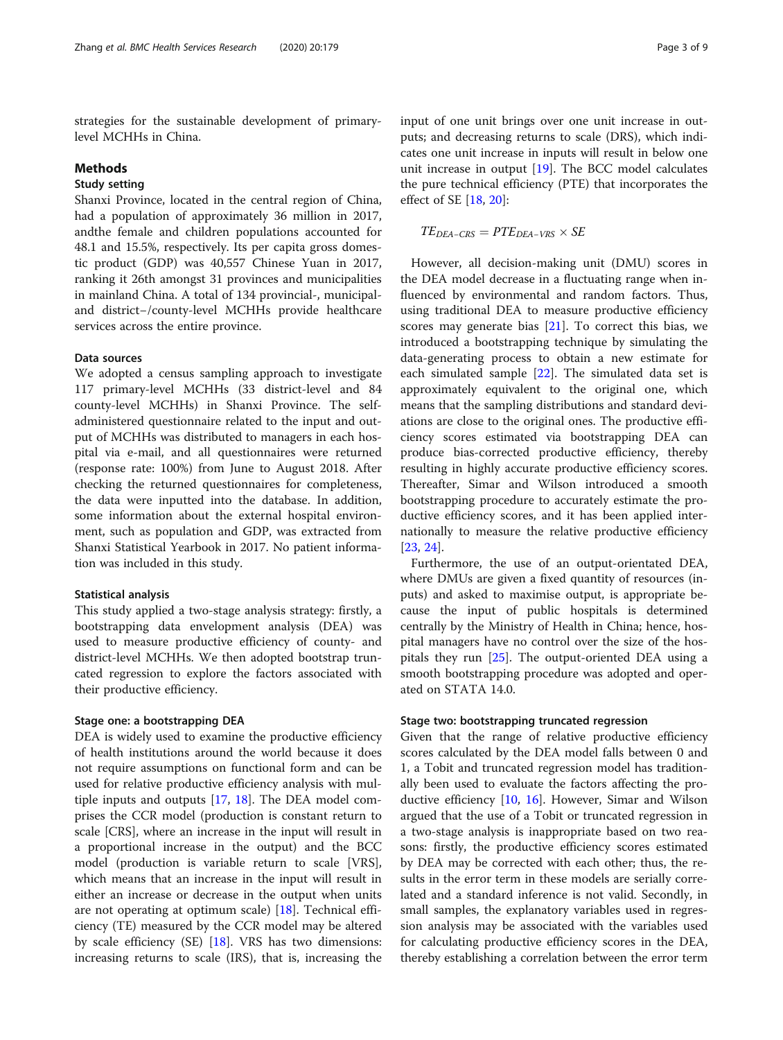strategies for the sustainable development of primarylevel MCHHs in China.

# Methods

# Study setting

Shanxi Province, located in the central region of China, had a population of approximately 36 million in 2017, andthe female and children populations accounted for 48.1 and 15.5%, respectively. Its per capita gross domestic product (GDP) was 40,557 Chinese Yuan in 2017, ranking it 26th amongst 31 provinces and municipalities in mainland China. A total of 134 provincial-, municipaland district−/county-level MCHHs provide healthcare services across the entire province.

### Data sources

We adopted a census sampling approach to investigate 117 primary-level MCHHs (33 district-level and 84 county-level MCHHs) in Shanxi Province. The selfadministered questionnaire related to the input and output of MCHHs was distributed to managers in each hospital via e-mail, and all questionnaires were returned (response rate: 100%) from June to August 2018. After checking the returned questionnaires for completeness, the data were inputted into the database. In addition, some information about the external hospital environment, such as population and GDP, was extracted from Shanxi Statistical Yearbook in 2017. No patient information was included in this study.

# Statistical analysis

This study applied a two-stage analysis strategy: firstly, a bootstrapping data envelopment analysis (DEA) was used to measure productive efficiency of county- and district-level MCHHs. We then adopted bootstrap truncated regression to explore the factors associated with their productive efficiency.

### Stage one: a bootstrapping DEA

DEA is widely used to examine the productive efficiency of health institutions around the world because it does not require assumptions on functional form and can be used for relative productive efficiency analysis with multiple inputs and outputs [\[17](#page-8-0), [18\]](#page-8-0). The DEA model comprises the CCR model (production is constant return to scale [CRS], where an increase in the input will result in a proportional increase in the output) and the BCC model (production is variable return to scale [VRS], which means that an increase in the input will result in either an increase or decrease in the output when units are not operating at optimum scale) [[18](#page-8-0)]. Technical efficiency (TE) measured by the CCR model may be altered by scale efficiency (SE) [\[18](#page-8-0)]. VRS has two dimensions: increasing returns to scale (IRS), that is, increasing the

input of one unit brings over one unit increase in outputs; and decreasing returns to scale (DRS), which indicates one unit increase in inputs will result in below one unit increase in output [[19\]](#page-8-0). The BCC model calculates the pure technical efficiency (PTE) that incorporates the effect of SE [\[18](#page-8-0), [20](#page-8-0)]:

$$
TE_{DEA-CRS} = PTE_{DEA-VRS} \times SE
$$

However, all decision-making unit (DMU) scores in the DEA model decrease in a fluctuating range when influenced by environmental and random factors. Thus, using traditional DEA to measure productive efficiency scores may generate bias [[21](#page-8-0)]. To correct this bias, we introduced a bootstrapping technique by simulating the data-generating process to obtain a new estimate for each simulated sample [[22\]](#page-8-0). The simulated data set is approximately equivalent to the original one, which means that the sampling distributions and standard deviations are close to the original ones. The productive efficiency scores estimated via bootstrapping DEA can produce bias-corrected productive efficiency, thereby resulting in highly accurate productive efficiency scores. Thereafter, Simar and Wilson introduced a smooth bootstrapping procedure to accurately estimate the productive efficiency scores, and it has been applied internationally to measure the relative productive efficiency [[23,](#page-8-0) [24\]](#page-8-0).

Furthermore, the use of an output-orientated DEA, where DMUs are given a fixed quantity of resources (inputs) and asked to maximise output, is appropriate because the input of public hospitals is determined centrally by the Ministry of Health in China; hence, hospital managers have no control over the size of the hospitals they run [[25](#page-8-0)]. The output-oriented DEA using a smooth bootstrapping procedure was adopted and operated on STATA 14.0.

### Stage two: bootstrapping truncated regression

Given that the range of relative productive efficiency scores calculated by the DEA model falls between 0 and 1, a Tobit and truncated regression model has traditionally been used to evaluate the factors affecting the productive efficiency [[10,](#page-7-0) [16\]](#page-8-0). However, Simar and Wilson argued that the use of a Tobit or truncated regression in a two-stage analysis is inappropriate based on two reasons: firstly, the productive efficiency scores estimated by DEA may be corrected with each other; thus, the results in the error term in these models are serially correlated and a standard inference is not valid. Secondly, in small samples, the explanatory variables used in regression analysis may be associated with the variables used for calculating productive efficiency scores in the DEA, thereby establishing a correlation between the error term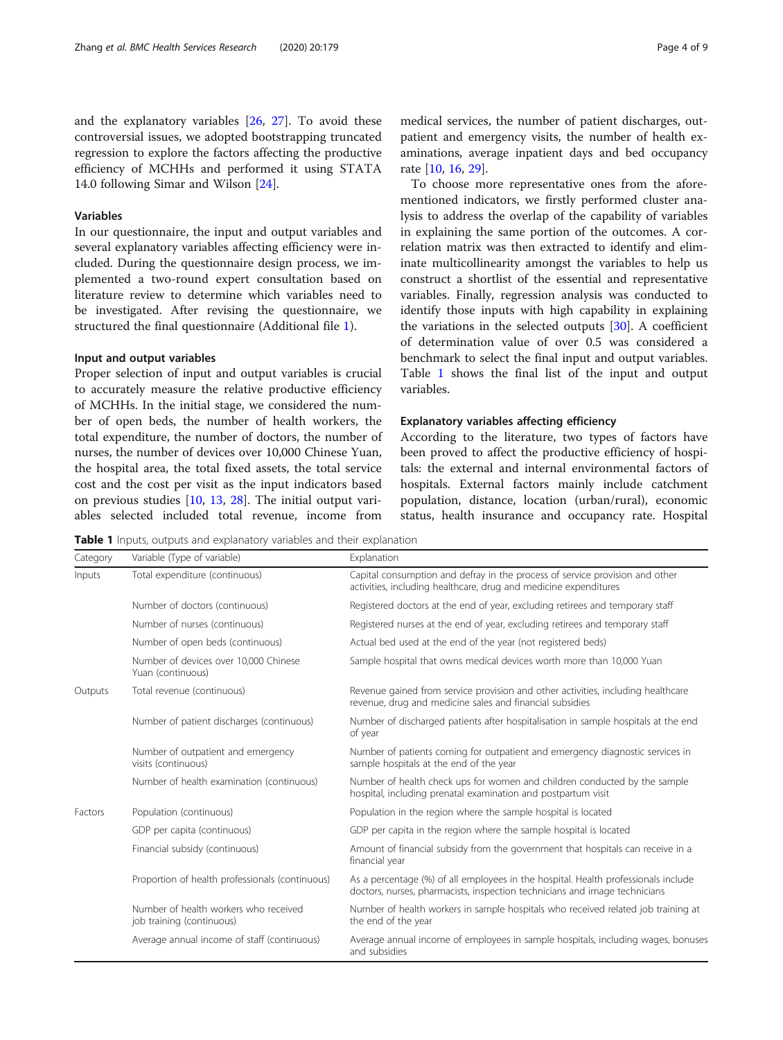<span id="page-3-0"></span>and the explanatory variables [[26,](#page-8-0) [27](#page-8-0)]. To avoid these controversial issues, we adopted bootstrapping truncated regression to explore the factors affecting the productive efficiency of MCHHs and performed it using STATA 14.0 following Simar and Wilson [\[24](#page-8-0)].

# Variables

In our questionnaire, the input and output variables and several explanatory variables affecting efficiency were included. During the questionnaire design process, we implemented a two-round expert consultation based on literature review to determine which variables need to be investigated. After revising the questionnaire, we structured the final questionnaire (Additional file [1](#page-7-0)).

# Input and output variables

Proper selection of input and output variables is crucial to accurately measure the relative productive efficiency of MCHHs. In the initial stage, we considered the number of open beds, the number of health workers, the total expenditure, the number of doctors, the number of nurses, the number of devices over 10,000 Chinese Yuan, the hospital area, the total fixed assets, the total service cost and the cost per visit as the input indicators based on previous studies [\[10,](#page-7-0) [13,](#page-8-0) [28](#page-8-0)]. The initial output variables selected included total revenue, income from

medical services, the number of patient discharges, outpatient and emergency visits, the number of health examinations, average inpatient days and bed occupancy rate [\[10](#page-7-0), [16](#page-8-0), [29](#page-8-0)].

To choose more representative ones from the aforementioned indicators, we firstly performed cluster analysis to address the overlap of the capability of variables in explaining the same portion of the outcomes. A correlation matrix was then extracted to identify and eliminate multicollinearity amongst the variables to help us construct a shortlist of the essential and representative variables. Finally, regression analysis was conducted to identify those inputs with high capability in explaining the variations in the selected outputs [[30\]](#page-8-0). A coefficient of determination value of over 0.5 was considered a benchmark to select the final input and output variables. Table 1 shows the final list of the input and output variables.

### Explanatory variables affecting efficiency

According to the literature, two types of factors have been proved to affect the productive efficiency of hospitals: the external and internal environmental factors of hospitals. External factors mainly include catchment population, distance, location (urban/rural), economic status, health insurance and occupancy rate. Hospital

Table 1 Inputs, outputs and explanatory variables and their explanation

| Category | Variable (Type of variable)                                        | Explanation                                                                                                                                                      |  |  |
|----------|--------------------------------------------------------------------|------------------------------------------------------------------------------------------------------------------------------------------------------------------|--|--|
| Inputs   | Total expenditure (continuous)                                     | Capital consumption and defray in the process of service provision and other<br>activities, including healthcare, drug and medicine expenditures                 |  |  |
|          | Number of doctors (continuous)                                     | Registered doctors at the end of year, excluding retirees and temporary staff                                                                                    |  |  |
|          | Number of nurses (continuous)                                      | Registered nurses at the end of year, excluding retirees and temporary staff                                                                                     |  |  |
|          | Number of open beds (continuous)                                   | Actual bed used at the end of the year (not registered beds)                                                                                                     |  |  |
|          | Number of devices over 10,000 Chinese<br>Yuan (continuous)         | Sample hospital that owns medical devices worth more than 10,000 Yuan                                                                                            |  |  |
| Outputs  | Total revenue (continuous)                                         | Revenue gained from service provision and other activities, including healthcare<br>revenue, drug and medicine sales and financial subsidies                     |  |  |
|          | Number of patient discharges (continuous)                          | Number of discharged patients after hospitalisation in sample hospitals at the end<br>of year                                                                    |  |  |
|          | Number of outpatient and emergency<br>visits (continuous)          | Number of patients coming for outpatient and emergency diagnostic services in<br>sample hospitals at the end of the year                                         |  |  |
|          | Number of health examination (continuous)                          | Number of health check ups for women and children conducted by the sample<br>hospital, including prenatal examination and postpartum visit                       |  |  |
| Factors  | Population (continuous)                                            | Population in the region where the sample hospital is located                                                                                                    |  |  |
|          | GDP per capita (continuous)                                        | GDP per capita in the region where the sample hospital is located                                                                                                |  |  |
|          | Financial subsidy (continuous)                                     | Amount of financial subsidy from the government that hospitals can receive in a<br>financial year                                                                |  |  |
|          | Proportion of health professionals (continuous)                    | As a percentage (%) of all employees in the hospital. Health professionals include<br>doctors, nurses, pharmacists, inspection technicians and image technicians |  |  |
|          | Number of health workers who received<br>job training (continuous) | Number of health workers in sample hospitals who received related job training at<br>the end of the year                                                         |  |  |
|          | Average annual income of staff (continuous)                        | Average annual income of employees in sample hospitals, including wages, bonuses<br>and subsidies                                                                |  |  |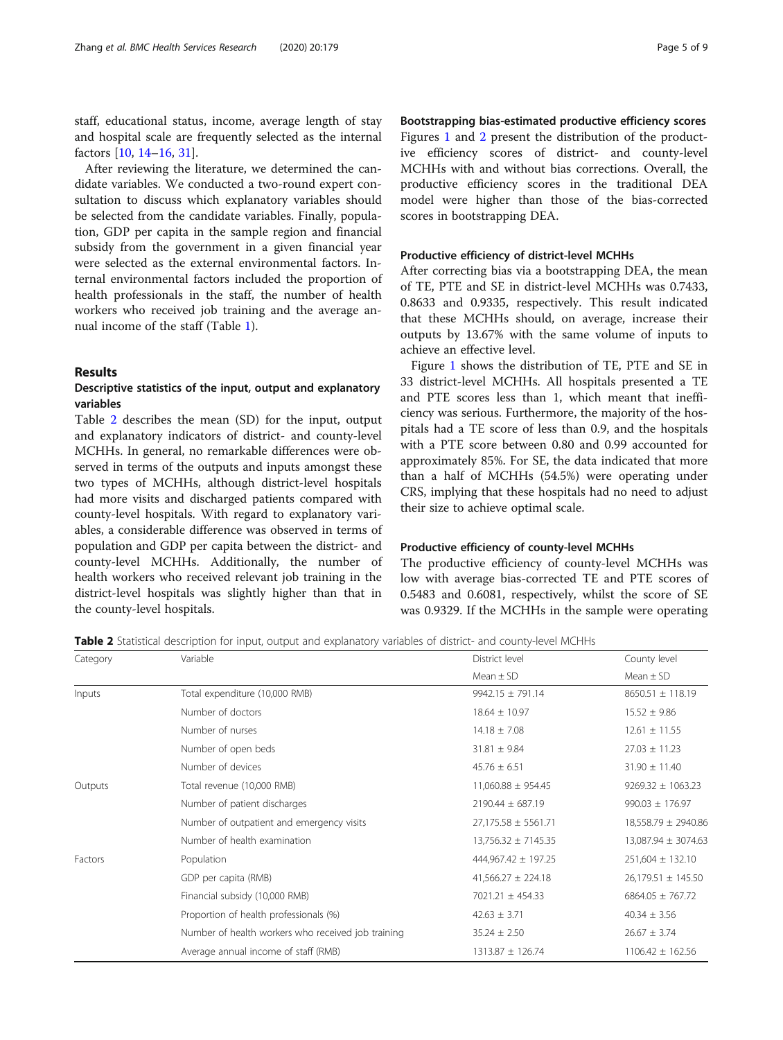staff, educational status, income, average length of stay and hospital scale are frequently selected as the internal factors [\[10](#page-7-0), [14](#page-8-0)–[16,](#page-8-0) [31\]](#page-8-0).

After reviewing the literature, we determined the candidate variables. We conducted a two-round expert consultation to discuss which explanatory variables should be selected from the candidate variables. Finally, population, GDP per capita in the sample region and financial subsidy from the government in a given financial year were selected as the external environmental factors. Internal environmental factors included the proportion of health professionals in the staff, the number of health workers who received job training and the average annual income of the staff (Table [1](#page-3-0)).

# Results

# Descriptive statistics of the input, output and explanatory variables

Table 2 describes the mean (SD) for the input, output and explanatory indicators of district- and county-level MCHHs. In general, no remarkable differences were observed in terms of the outputs and inputs amongst these two types of MCHHs, although district-level hospitals had more visits and discharged patients compared with county-level hospitals. With regard to explanatory variables, a considerable difference was observed in terms of population and GDP per capita between the district- and county-level MCHHs. Additionally, the number of health workers who received relevant job training in the district-level hospitals was slightly higher than that in the county-level hospitals.

Bootstrapping bias-estimated productive efficiency scores Figures [1](#page-5-0) and [2](#page-5-0) present the distribution of the productive efficiency scores of district- and county-level MCHHs with and without bias corrections. Overall, the productive efficiency scores in the traditional DEA model were higher than those of the bias-corrected scores in bootstrapping DEA.

### Productive efficiency of district-level MCHHs

After correcting bias via a bootstrapping DEA, the mean of TE, PTE and SE in district-level MCHHs was 0.7433, 0.8633 and 0.9335, respectively. This result indicated that these MCHHs should, on average, increase their outputs by 13.67% with the same volume of inputs to achieve an effective level.

Figure [1](#page-5-0) shows the distribution of TE, PTE and SE in 33 district-level MCHHs. All hospitals presented a TE and PTE scores less than 1, which meant that inefficiency was serious. Furthermore, the majority of the hospitals had a TE score of less than 0.9, and the hospitals with a PTE score between 0.80 and 0.99 accounted for approximately 85%. For SE, the data indicated that more than a half of MCHHs (54.5%) were operating under CRS, implying that these hospitals had no need to adjust their size to achieve optimal scale.

### Productive efficiency of county-level MCHHs

The productive efficiency of county-level MCHHs was low with average bias-corrected TE and PTE scores of 0.5483 and 0.6081, respectively, whilst the score of SE was 0.9329. If the MCHHs in the sample were operating

Table 2 Statistical description for input, output and explanatory variables of district- and county-level MCHHs

| Category | Variable                                           | District level          | County level           |
|----------|----------------------------------------------------|-------------------------|------------------------|
|          |                                                    | Mean $\pm$ SD           | Mean $\pm$ SD          |
| Inputs   | Total expenditure (10,000 RMB)                     | $9942.15 \pm 791.14$    | $8650.51 \pm 118.19$   |
|          | Number of doctors                                  | $18.64 \pm 10.97$       | $15.52 \pm 9.86$       |
|          | Number of nurses                                   | $14.18 \pm 7.08$        | $12.61 \pm 11.55$      |
|          | Number of open beds                                | $31.81 \pm 9.84$        | $27.03 \pm 11.23$      |
|          | Number of devices                                  | $45.76 \pm 6.51$        | $31.90 \pm 11.40$      |
| Outputs  | Total revenue (10,000 RMB)                         | $11,060.88 \pm 954.45$  | $9269.32 \pm 1063.23$  |
|          | Number of patient discharges                       | $2190.44 \pm 687.19$    | $990.03 \pm 176.97$    |
|          | Number of outpatient and emergency visits          | $27,175.58 \pm 5561.71$ | 18,558.79 ± 2940.86    |
|          | Number of health examination                       | $13,756.32 \pm 7145.35$ | 13,087.94 ± 3074.63    |
| Factors  | Population                                         | 444,967.42 ± 197.25     | $251,604 \pm 132.10$   |
|          | GDP per capita (RMB)                               | $41,566.27 \pm 224.18$  | $26,179.51 \pm 145.50$ |
|          | Financial subsidy (10,000 RMB)                     | 7021.21 ± 454.33        | $6864.05 \pm 767.72$   |
|          | Proportion of health professionals (%)             | $42.63 \pm 3.71$        | $40.34 \pm 3.56$       |
|          | Number of health workers who received job training | $35.24 \pm 2.50$        | $26.67 \pm 3.74$       |
|          | Average annual income of staff (RMB)               | 1313.87 ± 126.74        | $1106.42 \pm 162.56$   |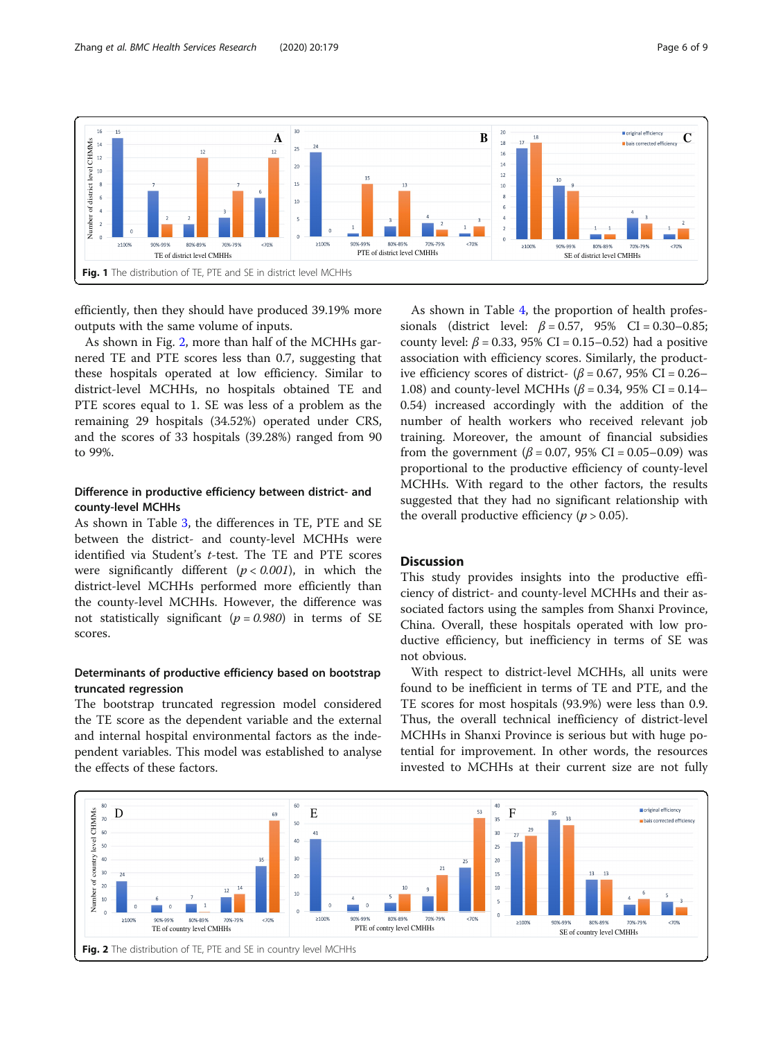<span id="page-5-0"></span>

efficiently, then they should have produced 39.19% more outputs with the same volume of inputs.

As shown in Fig. 2, more than half of the MCHHs garnered TE and PTE scores less than 0.7, suggesting that these hospitals operated at low efficiency. Similar to district-level MCHHs, no hospitals obtained TE and PTE scores equal to 1. SE was less of a problem as the remaining 29 hospitals (34.52%) operated under CRS, and the scores of 33 hospitals (39.28%) ranged from 90 to 99%.

# Difference in productive efficiency between district- and county-level MCHHs

As shown in Table [3](#page-6-0), the differences in TE, PTE and SE between the district- and county-level MCHHs were identified via Student's t-test. The TE and PTE scores were significantly different  $(p < 0.001)$ , in which the district-level MCHHs performed more efficiently than the county-level MCHHs. However, the difference was not statistically significant ( $p = 0.980$ ) in terms of SE scores.

# Determinants of productive efficiency based on bootstrap truncated regression

The bootstrap truncated regression model considered the TE score as the dependent variable and the external and internal hospital environmental factors as the independent variables. This model was established to analyse the effects of these factors.

As shown in Table [4,](#page-6-0) the proportion of health professionals (district level:  $\beta = 0.57$ , 95% CI = 0.30–0.85; county level:  $\beta$  = 0.33, 95% CI = 0.15–0.52) had a positive association with efficiency scores. Similarly, the productive efficiency scores of district- ( $\beta$  = 0.67, 95% CI = 0.26– 1.08) and county-level MCHHs ( $β = 0.34$ , 95% CI = 0.14– 0.54) increased accordingly with the addition of the number of health workers who received relevant job training. Moreover, the amount of financial subsidies from the government ( $\beta$  = 0.07, 95% CI = 0.05–0.09) was proportional to the productive efficiency of county-level MCHHs. With regard to the other factors, the results suggested that they had no significant relationship with the overall productive efficiency ( $p > 0.05$ ).

# **Discussion**

This study provides insights into the productive efficiency of district- and county-level MCHHs and their associated factors using the samples from Shanxi Province, China. Overall, these hospitals operated with low productive efficiency, but inefficiency in terms of SE was not obvious.

With respect to district-level MCHHs, all units were found to be inefficient in terms of TE and PTE, and the TE scores for most hospitals (93.9%) were less than 0.9. Thus, the overall technical inefficiency of district-level MCHHs in Shanxi Province is serious but with huge potential for improvement. In other words, the resources invested to MCHHs at their current size are not fully

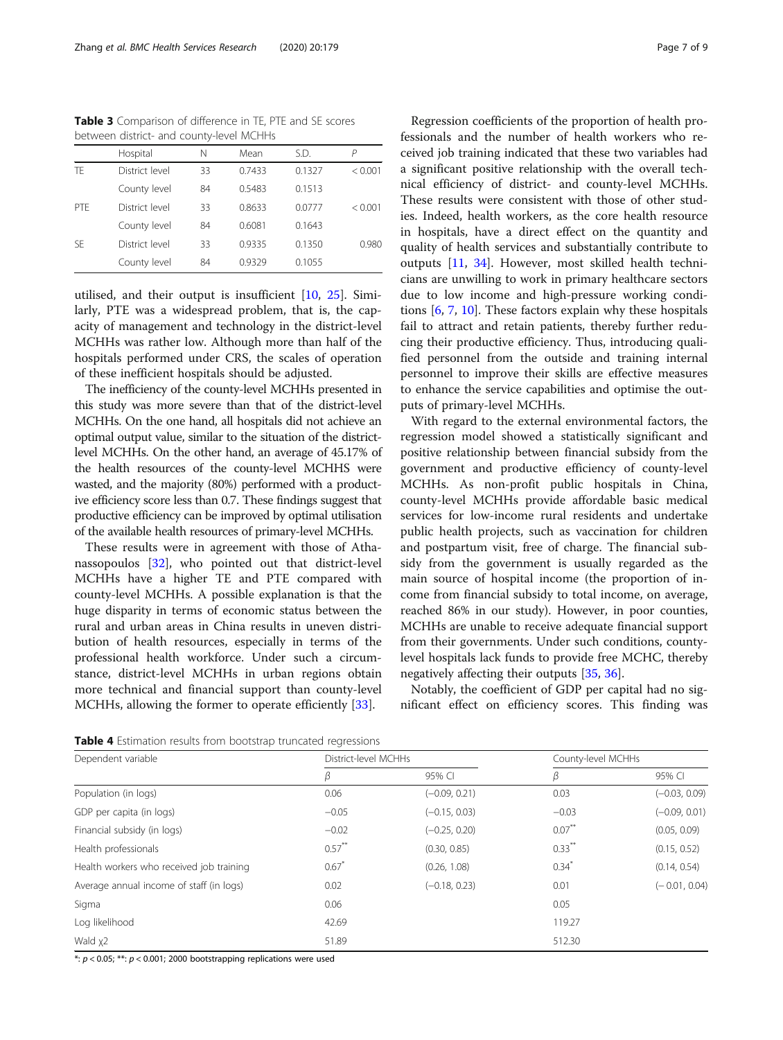<span id="page-6-0"></span>Table 3 Comparison of difference in TE, PTE and SE scores between district- and county-level MCHHs

|     | Hospital       | Ν  | Mean   | S.D.   | Р       |
|-----|----------------|----|--------|--------|---------|
| TF  | District level | 33 | 0.7433 | 0.1327 | < 0.001 |
|     | County level   | 84 | 0.5483 | 0.1513 |         |
| PTF | District level | 33 | 0.8633 | 0.0777 | < 0.001 |
|     | County level   | 84 | 0.6081 | 0.1643 |         |
| SF  | District level | 33 | 0.9335 | 0.1350 | 0.980   |
|     | County level   | 84 | 0.9329 | 0.1055 |         |

utilised, and their output is insufficient [\[10](#page-7-0), [25\]](#page-8-0). Similarly, PTE was a widespread problem, that is, the capacity of management and technology in the district-level MCHHs was rather low. Although more than half of the hospitals performed under CRS, the scales of operation of these inefficient hospitals should be adjusted.

The inefficiency of the county-level MCHHs presented in this study was more severe than that of the district-level MCHHs. On the one hand, all hospitals did not achieve an optimal output value, similar to the situation of the districtlevel MCHHs. On the other hand, an average of 45.17% of the health resources of the county-level MCHHS were wasted, and the majority (80%) performed with a productive efficiency score less than 0.7. These findings suggest that productive efficiency can be improved by optimal utilisation of the available health resources of primary-level MCHHs.

These results were in agreement with those of Athanassopoulos [[32\]](#page-8-0), who pointed out that district-level MCHHs have a higher TE and PTE compared with county-level MCHHs. A possible explanation is that the huge disparity in terms of economic status between the rural and urban areas in China results in uneven distribution of health resources, especially in terms of the professional health workforce. Under such a circumstance, district-level MCHHs in urban regions obtain more technical and financial support than county-level MCHHs, allowing the former to operate efficiently [\[33](#page-8-0)].

Regression coefficients of the proportion of health professionals and the number of health workers who received job training indicated that these two variables had a significant positive relationship with the overall technical efficiency of district- and county-level MCHHs. These results were consistent with those of other studies. Indeed, health workers, as the core health resource in hospitals, have a direct effect on the quantity and quality of health services and substantially contribute to outputs [[11,](#page-7-0) [34](#page-8-0)]. However, most skilled health technicians are unwilling to work in primary healthcare sectors due to low income and high-pressure working conditions [[6,](#page-7-0) [7,](#page-7-0) [10\]](#page-7-0). These factors explain why these hospitals fail to attract and retain patients, thereby further reducing their productive efficiency. Thus, introducing qualified personnel from the outside and training internal personnel to improve their skills are effective measures to enhance the service capabilities and optimise the outputs of primary-level MCHHs.

With regard to the external environmental factors, the regression model showed a statistically significant and positive relationship between financial subsidy from the government and productive efficiency of county-level MCHHs. As non-profit public hospitals in China, county-level MCHHs provide affordable basic medical services for low-income rural residents and undertake public health projects, such as vaccination for children and postpartum visit, free of charge. The financial subsidy from the government is usually regarded as the main source of hospital income (the proportion of income from financial subsidy to total income, on average, reached 86% in our study). However, in poor counties, MCHHs are unable to receive adequate financial support from their governments. Under such conditions, countylevel hospitals lack funds to provide free MCHC, thereby negatively affecting their outputs [\[35,](#page-8-0) [36\]](#page-8-0).

Notably, the coefficient of GDP per capital had no significant effect on efficiency scores. This finding was

Table 4 Estimation results from bootstrap truncated regressions

| Dependent variable                       | District-level MCHHs |                 |                     | County-level MCHHs |  |
|------------------------------------------|----------------------|-----------------|---------------------|--------------------|--|
|                                          | β                    | 95% CI          | β                   | 95% CI             |  |
| Population (in logs)                     | 0.06                 | $(-0.09, 0.21)$ | 0.03                | $(-0.03, 0.09)$    |  |
| GDP per capita (in logs)                 | $-0.05$              | $(-0.15, 0.03)$ | $-0.03$             | $(-0.09, 0.01)$    |  |
| Financial subsidy (in logs)              | $-0.02$              | $(-0.25, 0.20)$ | $0.07***$           | (0.05, 0.09)       |  |
| Health professionals                     | $0.57***$            | (0.30, 0.85)    | $0.33***$           | (0.15, 0.52)       |  |
| Health workers who received job training | 0.67                 | (0.26, 1.08)    | $0.34$ <sup>*</sup> | (0.14, 0.54)       |  |
| Average annual income of staff (in logs) | 0.02                 | $(-0.18, 0.23)$ | 0.01                | $(-0.01, 0.04)$    |  |
| Sigma                                    | 0.06                 |                 | 0.05                |                    |  |
| Log likelihood                           | 42.69                |                 | 119.27              |                    |  |
| Wald x2                                  | 51.89                |                 | 512.30              |                    |  |

\*:  $p < 0.05$ ; \*\*:  $p < 0.001$ ; 2000 bootstrapping replications were used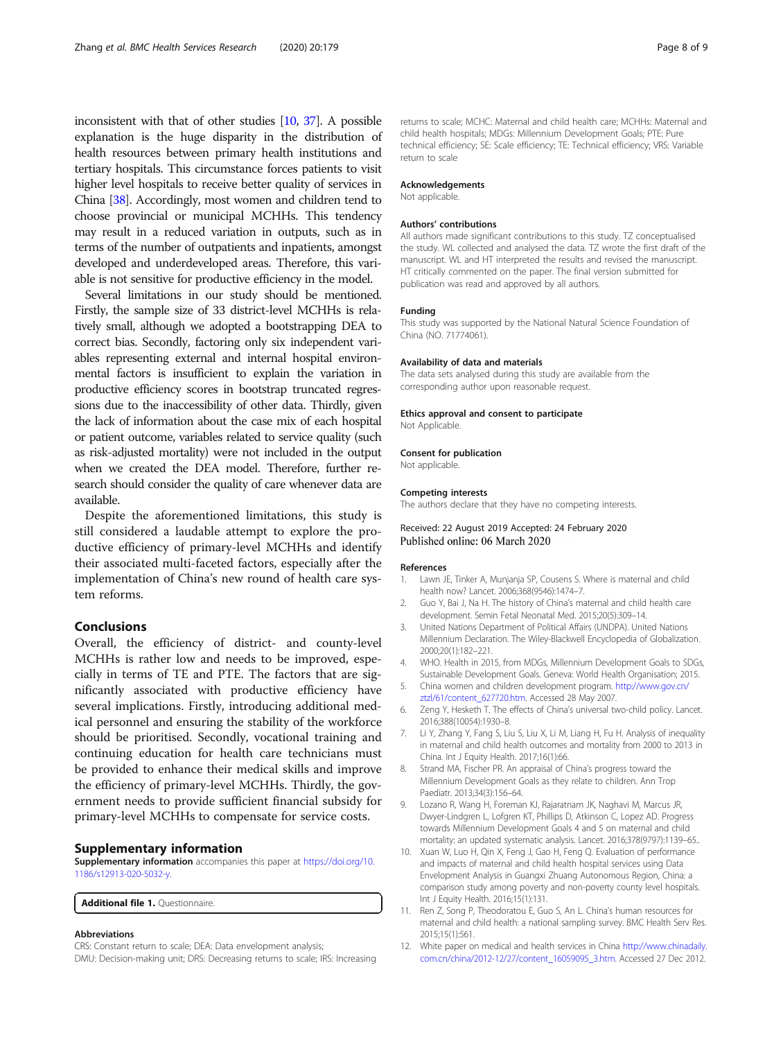<span id="page-7-0"></span>inconsistent with that of other studies [10, [37](#page-8-0)]. A possible explanation is the huge disparity in the distribution of health resources between primary health institutions and tertiary hospitals. This circumstance forces patients to visit higher level hospitals to receive better quality of services in China [\[38](#page-8-0)]. Accordingly, most women and children tend to choose provincial or municipal MCHHs. This tendency may result in a reduced variation in outputs, such as in terms of the number of outpatients and inpatients, amongst developed and underdeveloped areas. Therefore, this variable is not sensitive for productive efficiency in the model.

Several limitations in our study should be mentioned. Firstly, the sample size of 33 district-level MCHHs is relatively small, although we adopted a bootstrapping DEA to correct bias. Secondly, factoring only six independent variables representing external and internal hospital environmental factors is insufficient to explain the variation in productive efficiency scores in bootstrap truncated regressions due to the inaccessibility of other data. Thirdly, given the lack of information about the case mix of each hospital or patient outcome, variables related to service quality (such as risk-adjusted mortality) were not included in the output when we created the DEA model. Therefore, further research should consider the quality of care whenever data are available.

Despite the aforementioned limitations, this study is still considered a laudable attempt to explore the productive efficiency of primary-level MCHHs and identify their associated multi-faceted factors, especially after the implementation of China's new round of health care system reforms.

# Conclusions

Overall, the efficiency of district- and county-level MCHHs is rather low and needs to be improved, especially in terms of TE and PTE. The factors that are significantly associated with productive efficiency have several implications. Firstly, introducing additional medical personnel and ensuring the stability of the workforce should be prioritised. Secondly, vocational training and continuing education for health care technicians must be provided to enhance their medical skills and improve the efficiency of primary-level MCHHs. Thirdly, the government needs to provide sufficient financial subsidy for primary-level MCHHs to compensate for service costs.

### Supplementary information

Supplementary information accompanies this paper at [https://doi.org/10.](https://doi.org/10.1186/s12913-020-5032-y) [1186/s12913-020-5032-y](https://doi.org/10.1186/s12913-020-5032-y).

Additional file 1. Questionnaire.

#### Abbreviations

CRS: Constant return to scale; DEA: Data envelopment analysis; DMU: Decision-making unit; DRS: Decreasing returns to scale; IRS: Increasing returns to scale; MCHC: Maternal and child health care; MCHHs: Maternal and child health hospitals; MDGs: Millennium Development Goals; PTE: Pure technical efficiency; SE: Scale efficiency; TE: Technical efficiency; VRS: Variable return to scale

### Acknowledgements

Not applicable.

#### Authors' contributions

All authors made significant contributions to this study. TZ conceptualised the study. WL collected and analysed the data. TZ wrote the first draft of the manuscript. WL and HT interpreted the results and revised the manuscript. HT critically commented on the paper. The final version submitted for publication was read and approved by all authors.

#### Funding

This study was supported by the National Natural Science Foundation of China (NO. 71774061).

#### Availability of data and materials

The data sets analysed during this study are available from the corresponding author upon reasonable request.

### Ethics approval and consent to participate

Not Applicable.

#### Consent for publication

Not applicable.

# Competing interests

The authors declare that they have no competing interests.

### Received: 22 August 2019 Accepted: 24 February 2020 Published online: 06 March 2020

#### References

- 1. Lawn JE, Tinker A, Munjanja SP, Cousens S. Where is maternal and child health now? Lancet. 2006;368(9546):1474–7.
- 2. Guo Y, Bai J, Na H. The history of China's maternal and child health care development. Semin Fetal Neonatal Med. 2015;20(5):309–14.
- 3. United Nations Department of Political Affairs (UNDPA). United Nations Millennium Declaration. The Wiley-Blackwell Encyclopedia of Globalization. 2000;20(1):182–221.
- 4. WHO. Health in 2015, from MDGs, Millennium Development Goals to SDGs, Sustainable Development Goals. Geneva: World Health Organisation; 2015.
- 5. China women and children development program. [http://www.gov.cn/](http://www.gov.cn/ztzl/61/content_627720.htm) [ztzl/61/content\\_627720.htm.](http://www.gov.cn/ztzl/61/content_627720.htm) Accessed 28 May 2007.
- 6. Zeng Y, Hesketh T. The effects of China's universal two-child policy. Lancet. 2016;388(10054):1930–8.
- 7. Li Y, Zhang Y, Fang S, Liu S, Liu X, Li M, Liang H, Fu H. Analysis of inequality in maternal and child health outcomes and mortality from 2000 to 2013 in China. Int J Equity Health. 2017;16(1):66.
- Strand MA, Fischer PR. An appraisal of China's progress toward the Millennium Development Goals as they relate to children. Ann Trop Paediatr. 2013;34(3):156–64.
- 9. Lozano R, Wang H, Foreman KJ, Rajaratnam JK, Naghavi M, Marcus JR, Dwyer-Lindgren L, Lofgren KT, Phillips D, Atkinson C, Lopez AD. Progress towards Millennium Development Goals 4 and 5 on maternal and child mortality: an updated systematic analysis. Lancet. 2016;378(9797):1139–65..
- 10. Xuan W, Luo H, Qin X, Feng J, Gao H, Feng Q. Evaluation of performance and impacts of maternal and child health hospital services using Data Envelopment Analysis in Guangxi Zhuang Autonomous Region, China: a comparison study among poverty and non-poverty county level hospitals. Int J Equity Health. 2016;15(1):131.
- 11. Ren Z, Song P, Theodoratou E, Guo S, An L. China's human resources for maternal and child health: a national sampling survey. BMC Health Serv Res. 2015;15(1):561.
- 12. White paper on medical and health services in China [http://www.chinadaily.](http://www.chinadaily.com.cn/china/2012-12/27/content_16059095_3.htm) [com.cn/china/2012-12/27/content\\_16059095\\_3.htm.](http://www.chinadaily.com.cn/china/2012-12/27/content_16059095_3.htm) Accessed 27 Dec 2012.